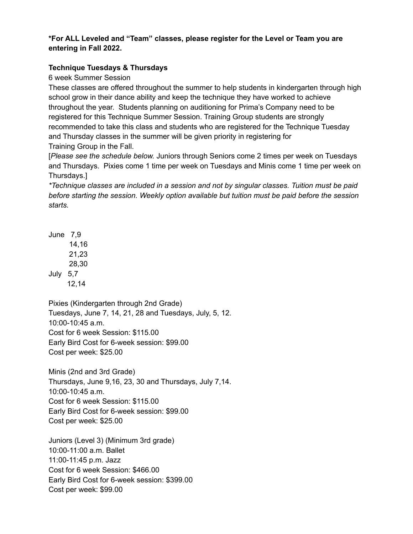# **\*For ALL Leveled and "Team" classes, please register for the Level or Team you are entering in Fall 2022.**

# **Technique Tuesdays & Thursdays**

6 week Summer Session

These classes are offered throughout the summer to help students in kindergarten through high school grow in their dance ability and keep the technique they have worked to achieve throughout the year. Students planning on auditioning for Prima's Company need to be registered for this Technique Summer Session. Training Group students are strongly recommended to take this class and students who are registered for the Technique Tuesday and Thursday classes in the summer will be given priority in registering for Training Group in the Fall.

[*Please see the schedule below.* Juniors through Seniors come 2 times per week on Tuesdays and Thursdays. Pixies come 1 time per week on Tuesdays and Minis come 1 time per week on Thursdays.]

*\*Technique classes are included in a session and not by singular classes. Tuition must be paid before starting the session. Weekly option available but tuition must be paid before the session starts.*

June 7,9 14,16 21,23 28,30 July 5,7 12,14

Pixies (Kindergarten through 2nd Grade) Tuesdays, June 7, 14, 21, 28 and Tuesdays, July, 5, 12. 10:00-10:45 a.m. Cost for 6 week Session: \$115.00 Early Bird Cost for 6-week session: \$99.00 Cost per week: \$25.00

Minis (2nd and 3rd Grade) Thursdays, June 9,16, 23, 30 and Thursdays, July 7,14. 10:00-10:45 a.m. Cost for 6 week Session: \$115.00 Early Bird Cost for 6-week session: \$99.00 Cost per week: \$25.00

Juniors (Level 3) (Minimum 3rd grade) 10:00-11:00 a.m. Ballet 11:00-11:45 p.m. Jazz Cost for 6 week Session: \$466.00 Early Bird Cost for 6-week session: \$399.00 Cost per week: \$99.00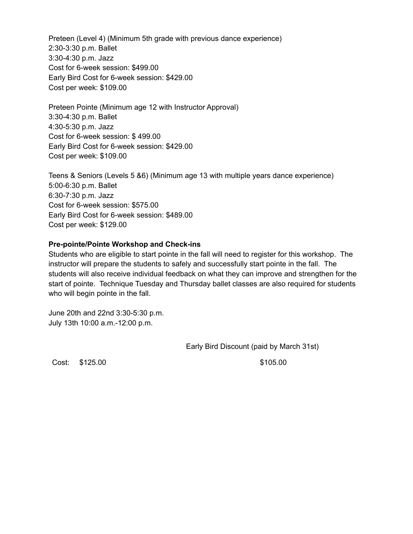Preteen (Level 4) (Minimum 5th grade with previous dance experience) 2:30-3:30 p.m. Ballet 3:30-4:30 p.m. Jazz Cost for 6-week session: \$499.00 Early Bird Cost for 6-week session: \$429.00 Cost per week: \$109.00

Preteen Pointe (Minimum age 12 with Instructor Approval) 3:30-4:30 p.m. Ballet 4:30-5:30 p.m. Jazz Cost for 6-week session: \$ 499.00 Early Bird Cost for 6-week session: \$429.00 Cost per week: \$109.00

Teens & Seniors (Levels 5 &6) (Minimum age 13 with multiple years dance experience) 5:00-6:30 p.m. Ballet 6:30-7:30 p.m. Jazz Cost for 6-week session: \$575.00 Early Bird Cost for 6-week session: \$489.00 Cost per week: \$129.00

#### **Pre-pointe/Pointe Workshop and Check-ins**

Students who are eligible to start pointe in the fall will need to register for this workshop. The instructor will prepare the students to safely and successfully start pointe in the fall. The students will also receive individual feedback on what they can improve and strengthen for the start of pointe. Technique Tuesday and Thursday ballet classes are also required for students who will begin pointe in the fall.

June 20th and 22nd 3:30-5:30 p.m. July 13th 10:00 a.m.-12:00 p.m.

Early Bird Discount (paid by March 31st)

Cost: \$125.00 \$105.00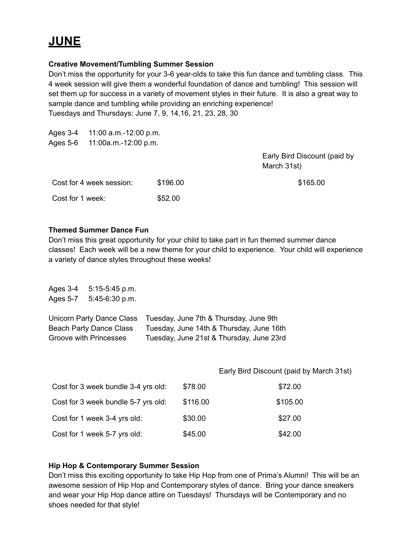# **JUNE**

## **Creative Movement/Tumbling Summer Session**

Don't miss the opportunity for your 3-6 year-olds to take this fun dance and tumbling class. This 4 week session will give them a wonderful foundation of dance and tumbling! This session will set them up for success in a variety of movement styles in their future. It is also a great way to sample dance and tumbling while providing an enriching experience! Tuesdays and Thursdays: June 7, 9, 14,16, 21, 23, 28, 30

| Ages 3-4<br>Ages 5-6 | 11:00 a.m.-12:00 p.m.<br>11:00a.m.-12:00 p.m. |          |                                             |
|----------------------|-----------------------------------------------|----------|---------------------------------------------|
|                      |                                               |          | Early Bird Discount (paid by<br>March 31st) |
|                      | Cost for 4 week session:                      | \$196.00 | \$165.00                                    |
| Cost for 1 week:     |                                               | \$52.00  |                                             |

### **Themed Summer Dance Fun**

Don't miss this great opportunity for your child to take part in fun themed summer dance classes! Each week will be a new theme for your child to experience. Your child will experience a variety of dance styles throughout these weeks!

| Ages 3-4<br>Ages 5-7 | $5:15-5:45$ p.m.<br>$5:45-6:30$ p.m.                                                         |          |                                                                                                                                |
|----------------------|----------------------------------------------------------------------------------------------|----------|--------------------------------------------------------------------------------------------------------------------------------|
|                      | Unicorn Party Dance Class<br><b>Beach Party Dance Class</b><br><b>Groove with Princesses</b> |          | Tuesday, June 7th & Thursday, June 9th<br>Tuesday, June 14th & Thursday, June 16th<br>Tuesday, June 21st & Thursday, June 23rd |
|                      |                                                                                              |          | Early Bird Discount (paid by March 31st)                                                                                       |
|                      | Cost for 3 week bundle 3-4 yrs old:                                                          | \$78.00  | \$72.00                                                                                                                        |
|                      | Cost for 3 week bundle 5-7 yrs old:                                                          | \$116.00 | \$105.00                                                                                                                       |
|                      | Cost for 1 week 3-4 yrs old:                                                                 | \$30.00  | \$27.00                                                                                                                        |

Cost for 1 week 5-7 yrs old: \$45.00 \$42.00

# **Hip Hop & Contemporary Summer Session**

Don't miss this exciting opportunity to take Hip Hop from one of Prima's Alumni! This will be an awesome session of Hip Hop and Contemporary styles of dance. Bring your dance sneakers and wear your Hip Hop dance attire on Tuesdays! Thursdays will be Contemporary and no shoes needed for that style!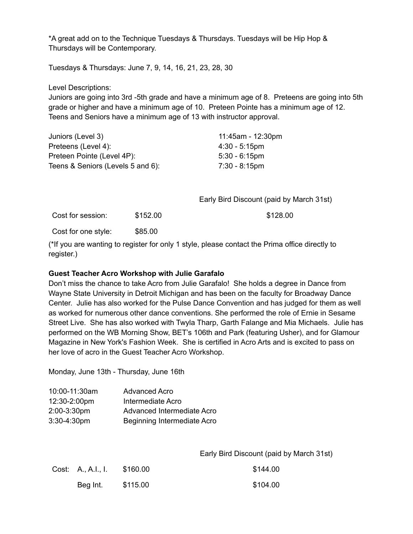\*A great add on to the Technique Tuesdays & Thursdays. Tuesdays will be Hip Hop & Thursdays will be Contemporary.

Tuesdays & Thursdays: June 7, 9, 14, 16, 21, 23, 28, 30

Level Descriptions:

Juniors are going into 3rd -5th grade and have a minimum age of 8. Preteens are going into 5th grade or higher and have a minimum age of 10. Preteen Pointe has a minimum age of 12. Teens and Seniors have a minimum age of 13 with instructor approval.

| Juniors (Level 3)                 | 11:45am - 12:30pm       |
|-----------------------------------|-------------------------|
| Preteens (Level 4):               | $4:30 - 5:15 \text{pm}$ |
| Preteen Pointe (Level 4P):        | $5:30 - 6:15$ pm        |
| Teens & Seniors (Levels 5 and 6): | 7:30 - 8:15pm           |
|                                   |                         |

Early Bird Discount (paid by March 31st)

Cost for session: \$152.00 \$128.00

Cost for one style: \$85.00

(\*If you are wanting to register for only 1 style, please contact the Prima office directly to register.)

#### **Guest Teacher Acro Workshop with Julie Garafalo**

Don't miss the chance to take Acro from Julie Garafalo! She holds a degree in Dance from Wayne State University in Detroit Michigan and has been on the faculty for Broadway Dance Center. Julie has also worked for the Pulse Dance Convention and has judged for them as well as worked for numerous other dance conventions. She performed the role of Ernie in Sesame Street Live. She has also worked with Twyla Tharp, Garth Falange and Mia Michaels. Julie has performed on the WB Morning Show, BET's 106th and Park (featuring Usher), and for Glamour Magazine in New York's Fashion Week. She is certified in Acro Arts and is excited to pass on her love of acro in the Guest Teacher Acro Workshop.

Monday, June 13th - Thursday, June 16th

| 10:00-11:30am | <b>Advanced Acro</b>        |
|---------------|-----------------------------|
| 12:30-2:00pm  | Intermediate Acro           |
| 2:00-3:30pm   | Advanced Intermediate Acro  |
| 3:30-4:30pm   | Beginning Intermediate Acro |

Early Bird Discount (paid by March 31st)

| Cost: A., A.I., I. | \$160.00 | \$144.00 |
|--------------------|----------|----------|
| Beg Int.           | \$115.00 | \$104.00 |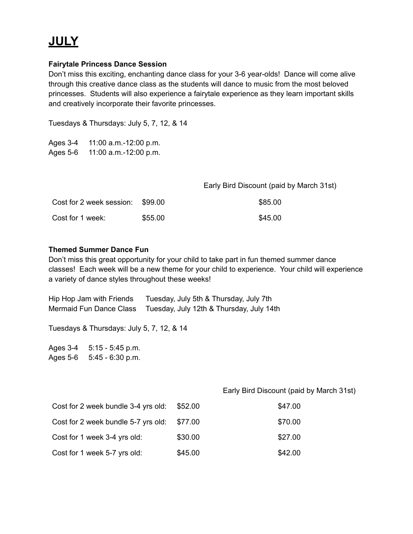# **JULY**

### **Fairytale Princess Dance Session**

Don't miss this exciting, enchanting dance class for your 3-6 year-olds! Dance will come alive through this creative dance class as the students will dance to music from the most beloved princesses. Students will also experience a fairytale experience as they learn important skills and creatively incorporate their favorite princesses.

Tuesdays & Thursdays: July 5, 7, 12, & 14

Ages 3-4 11:00 a.m.-12:00 p.m. Ages 5-6 11:00 a.m.-12:00 p.m.

|                                  |         | Early Bird Discount (paid by March 31st) |
|----------------------------------|---------|------------------------------------------|
| Cost for 2 week session: \$99.00 |         | \$85.00                                  |
| Cost for 1 week:                 | \$55.00 | \$45.00                                  |

### **Themed Summer Dance Fun**

Don't miss this great opportunity for your child to take part in fun themed summer dance classes! Each week will be a new theme for your child to experience. Your child will experience a variety of dance styles throughout these weeks!

Hip Hop Jam with Friends Tuesday, July 5th & Thursday, July 7th Mermaid Fun Dance Class Tuesday, July 12th & Thursday, July 14th

Tuesdays & Thursdays: July 5, 7, 12, & 14

Ages 3-4 5:15 - 5:45 p.m. Ages 5-6 5:45 - 6:30 p.m.

Early Bird Discount (paid by March 31st)

| Cost for 2 week bundle 3-4 yrs old: | \$52.00 | \$47.00 |
|-------------------------------------|---------|---------|
| Cost for 2 week bundle 5-7 yrs old: | \$77.00 | \$70.00 |
| Cost for 1 week 3-4 yrs old:        | \$30.00 | \$27.00 |
| Cost for 1 week 5-7 yrs old:        | \$45.00 | \$42.00 |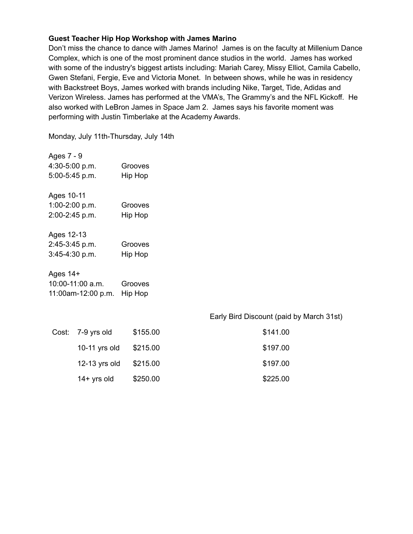#### **Guest Teacher Hip Hop Workshop with James Marino**

Don't miss the chance to dance with James Marino! James is on the faculty at Millenium Dance Complex, which is one of the most prominent dance studios in the world. James has worked with some of the industry's biggest artists including: Mariah Carey, Missy Elliot, Camila Cabello, Gwen Stefani, Fergie, Eve and Victoria Monet. In between shows, while he was in residency with Backstreet Boys, James worked with brands including Nike, Target, Tide, Adidas and Verizon Wireless. James has performed at the VMA's, The Grammy's and the NFL Kickoff. He also worked with LeBron James in Space Jam 2. James says his favorite moment was performing with Justin Timberlake at the Academy Awards.

Monday, July 11th-Thursday, July 14th

| Ages 7 - 9     |         |
|----------------|---------|
| 4:30-5:00 p.m. | Grooves |
| 5:00-5:45 p.m. | Hip Hop |
|                |         |
| Ages 10-11     |         |
| 1:00-2:00 p.m. | Grooves |
| 2:00-2:45 p.m. | Hip Hop |
|                |         |
| Ages 12-13     |         |

| 2:45-3:45 p.m. | Grooves |
|----------------|---------|
| 3:45-4:30 p.m. | Hip Hop |

#### Ages 14+ 10:00-11:00 a.m. Grooves 11:00am-12:00 p.m. Hip Hop

#### Early Bird Discount (paid by March 31st)

| Cost: 7-9 yrs old | \$155.00 | \$141.00 |
|-------------------|----------|----------|
| 10-11 $yrs$ old   | \$215.00 | \$197.00 |
| 12-13 $yrs$ old   | \$215.00 | \$197.00 |
| $14+$ yrs old     | \$250.00 | \$225.00 |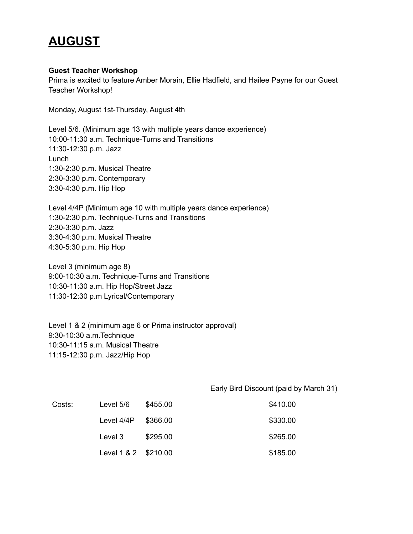# **AUGUST**

#### **Guest Teacher Workshop**

Prima is excited to feature Amber Morain, Ellie Hadfield, and Hailee Payne for our Guest Teacher Workshop!

Monday, August 1st-Thursday, August 4th

Level 5/6. (Minimum age 13 with multiple years dance experience) 10:00-11:30 a.m. Technique-Turns and Transitions 11:30-12:30 p.m. Jazz Lunch 1:30-2:30 p.m. Musical Theatre 2:30-3:30 p.m. Contemporary 3:30-4:30 p.m. Hip Hop

Level 4/4P (Minimum age 10 with multiple years dance experience) 1:30-2:30 p.m. Technique-Turns and Transitions 2:30-3:30 p.m. Jazz 3:30-4:30 p.m. Musical Theatre 4:30-5:30 p.m. Hip Hop

Level 3 (minimum age 8) 9:00-10:30 a.m. Technique-Turns and Transitions 10:30-11:30 a.m. Hip Hop/Street Jazz 11:30-12:30 p.m Lyrical/Contemporary

Level 1 & 2 (minimum age 6 or Prima instructor approval) 9:30-10:30 a.m.Technique 10:30-11:15 a.m. Musical Theatre 11:15-12:30 p.m. Jazz/Hip Hop

Early Bird Discount (paid by March 31)

| Costs: | Level 5/6            | \$455.00 | \$410.00 |
|--------|----------------------|----------|----------|
|        | Level 4/4P           | \$366.00 | \$330.00 |
|        | Level 3              | \$295.00 | \$265.00 |
|        | Level 1 & 2 \$210.00 |          | \$185.00 |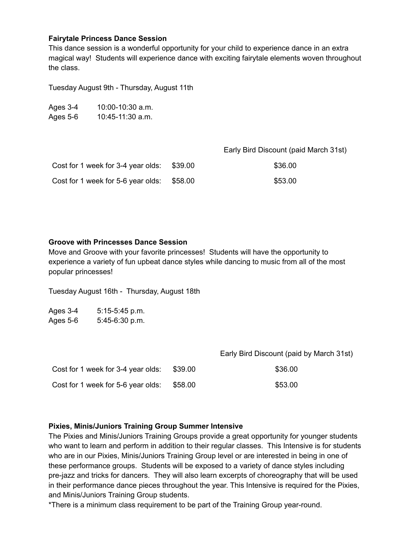#### **Fairytale Princess Dance Session**

This dance session is a wonderful opportunity for your child to experience dance in an extra magical way! Students will experience dance with exciting fairytale elements woven throughout the class.

Tuesday August 9th - Thursday, August 11th

| Ages 3-4 | 10:00-10:30 a.m.   |
|----------|--------------------|
| Ages 5-6 | $10:45-11:30$ a.m. |

Early Bird Discount (paid March 31st)

| Cost for 1 week for 3-4 year olds: \$39.00 |         | \$36.00 |
|--------------------------------------------|---------|---------|
| Cost for 1 week for 5-6 year olds:         | \$58.00 | \$53.00 |

#### **Groove with Princesses Dance Session**

Move and Groove with your favorite princesses! Students will have the opportunity to experience a variety of fun upbeat dance styles while dancing to music from all of the most popular princesses!

Tuesday August 16th - Thursday, August 18th

Ages 3-4 5:15-5:45 p.m. Ages 5-6 5:45-6:30 p.m.

|                                    |         | Early Bird Discount (paid by March 31st) |
|------------------------------------|---------|------------------------------------------|
| Cost for 1 week for 3-4 year olds: | \$39.00 | \$36.00                                  |
| Cost for 1 week for 5-6 year olds: | \$58.00 | \$53.00                                  |

#### **Pixies, Minis/Juniors Training Group Summer Intensive**

The Pixies and Minis/Juniors Training Groups provide a great opportunity for younger students who want to learn and perform in addition to their regular classes. This Intensive is for students who are in our Pixies, Minis/Juniors Training Group level or are interested in being in one of these performance groups. Students will be exposed to a variety of dance styles including pre-jazz and tricks for dancers. They will also learn excerpts of choreography that will be used in their performance dance pieces throughout the year. This Intensive is required for the Pixies, and Minis/Juniors Training Group students.

\*There is a minimum class requirement to be part of the Training Group year-round.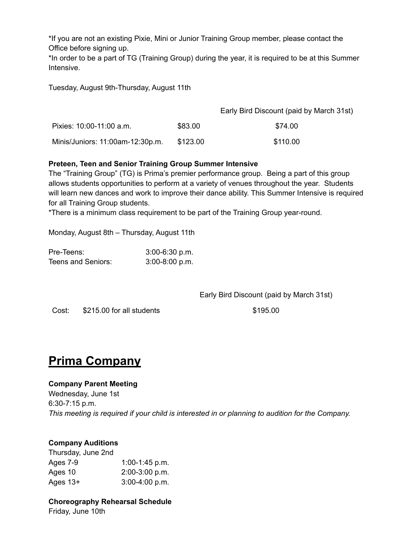\*If you are not an existing Pixie, Mini or Junior Training Group member, please contact the Office before signing up.

\*In order to be a part of TG (Training Group) during the year, it is required to be at this Summer Intensive.

Tuesday, August 9th-Thursday, August 11th

|                                  |          | Early Bird Discount (paid by March 31st) |
|----------------------------------|----------|------------------------------------------|
| Pixies: 10:00-11:00 a.m.         | \$83.00  | \$74.00                                  |
| Minis/Juniors: 11:00am-12:30p.m. | \$123.00 | \$110.00                                 |

### **Preteen, Teen and Senior Training Group Summer Intensive**

The "Training Group" (TG) is Prima's premier performance group. Being a part of this group allows students opportunities to perform at a variety of venues throughout the year. Students will learn new dances and work to improve their dance ability. This Summer Intensive is required for all Training Group students.

\*There is a minimum class requirement to be part of the Training Group year-round.

Monday, August 8th – Thursday, August 11th

| Pre-Teens:         | $3:00-6:30$ p.m. |
|--------------------|------------------|
| Teens and Seniors: | $3:00-8:00 p.m.$ |

Early Bird Discount (paid by March 31st)

Cost: \$215.00 for all students \$195.00

# **Prima Company**

# **Company Parent Meeting**

Wednesday, June 1st 6:30-7:15 p.m. *This meeting is required if your child is interested in or planning to audition for the Company.*

# **Company Auditions**

Thursday, June 2nd Ages 7-9 1:00-1:45 p.m. Ages 10 2:00-3:00 p.m. Ages 13+ 3:00-4:00 p.m.

# **Choreography Rehearsal Schedule**

Friday, June 10th